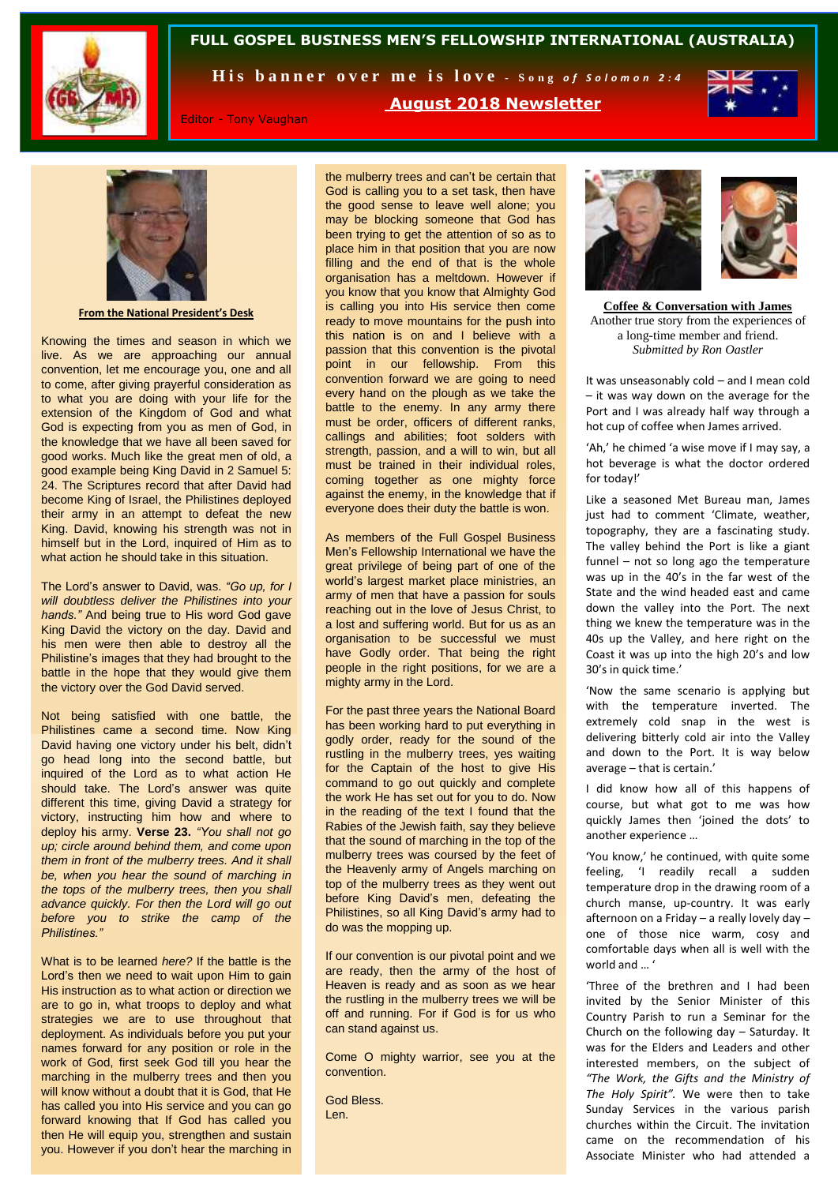

## **FULL GOSPEL BUSINESS MEN'S FELLOWSHIP INTERNATIONAL (AUSTRALIA)**

His banner over me is love - Song of Solomon 2:4



Editor - Tony Vaughan

**August 2018 Newsletter**



**From the National President's Desk**

Knowing the times and season in which we live. As we are approaching our annual convention, let me encourage you, one and all to come, after giving prayerful consideration as to what you are doing with your life for the extension of the Kingdom of God and what God is expecting from you as men of God, in the knowledge that we have all been saved for good works. Much like the great men of old, a good example being King David in 2 Samuel 5: 24. The Scriptures record that after David had become King of Israel, the Philistines deployed their army in an attempt to defeat the new King. David, knowing his strength was not in himself but in the Lord, inquired of Him as to what action he should take in this situation.

The Lord's answer to David, was. *"Go up, for I will doubtless deliver the Philistines into your hands."* And being true to His word God gave King David the victory on the day. David and his men were then able to destroy all the Philistine's images that they had brought to the battle in the hope that they would give them the victory over the God David served.

Not being satisfied with one battle, the Philistines came a second time. Now King David having one victory under his belt, didn't go head long into the second battle, but inquired of the Lord as to what action He should take. The Lord's answer was quite different this time, giving David a strategy for victory, instructing him how and where to deploy his army. **Verse 23.** *"You shall not go up; circle around behind them, and come upon them in front of the mulberry trees. And it shall be, when you hear the sound of marching in the tops of the mulberry trees, then you shall advance quickly. For then the Lord will go out before you to strike the camp of the Philistines."*

What is to be learned *here?* If the battle is the Lord's then we need to wait upon Him to gain His instruction as to what action or direction we are to go in, what troops to deploy and what strategies we are to use throughout that deployment. As individuals before you put your names forward for any position or role in the work of God, first seek God till you hear the marching in the mulberry trees and then you will know without a doubt that it is God, that He has called you into His service and you can go forward knowing that If God has called you then He will equip you, strengthen and sustain you. However if you don't hear the marching in

the mulberry trees and can't be certain that God is calling you to a set task, then have the good sense to leave well alone; you may be blocking someone that God has been trying to get the attention of so as to place him in that position that you are now filling and the end of that is the whole organisation has a meltdown. However if you know that you know that Almighty God is calling you into His service then come ready to move mountains for the push into this nation is on and I believe with a passion that this convention is the pivotal point in our fellowship. From this convention forward we are going to need every hand on the plough as we take the battle to the enemy. In any army there must be order, officers of different ranks, callings and abilities; foot solders with strength, passion, and a will to win, but all must be trained in their individual roles, coming together as one mighty force against the enemy, in the knowledge that if everyone does their duty the battle is won.

As members of the Full Gospel Business Men's Fellowship International we have the great privilege of being part of one of the world's largest market place ministries, an army of men that have a passion for souls reaching out in the love of Jesus Christ, to a lost and suffering world. But for us as an organisation to be successful we must have Godly order. That being the right people in the right positions, for we are a mighty army in the Lord.

For the past three years the National Board has been working hard to put everything in godly order, ready for the sound of the rustling in the mulberry trees, yes waiting for the Captain of the host to give His command to go out quickly and complete the work He has set out for you to do. Now in the reading of the text I found that the Rabies of the Jewish faith, say they believe that the sound of marching in the top of the mulberry trees was coursed by the feet of the Heavenly army of Angels marching on top of the mulberry trees as they went out before King David's men, defeating the Philistines, so all King David's army had to do was the mopping up.

If our convention is our pivotal point and we are ready, then the army of the host of Heaven is ready and as soon as we hear the rustling in the mulberry trees we will be off and running. For if God is for us who can stand against us.

Come O mighty warrior, see you at the convention.

God Bless. Len.



**Coffee & Conversation with James** Another true story from the experiences of a long-time member and friend. *Submitted by Ron Oastler*

It was unseasonably cold – and I mean cold – it was way down on the average for the Port and I was already half way through a hot cup of coffee when James arrived.

'Ah,' he chimed 'a wise move if I may say, a hot beverage is what the doctor ordered for today!'

Like a seasoned Met Bureau man, James just had to comment 'Climate, weather, topography, they are a fascinating study. The valley behind the Port is like a giant funnel – not so long ago the temperature was up in the 40's in the far west of the State and the wind headed east and came down the valley into the Port. The next thing we knew the temperature was in the 40s up the Valley, and here right on the Coast it was up into the high 20's and low 30's in quick time.'

'Now the same scenario is applying but with the temperature inverted. The extremely cold snap in the west is delivering bitterly cold air into the Valley and down to the Port. It is way below average – that is certain.'

I did know how all of this happens of course, but what got to me was how quickly James then 'joined the dots' to another experience …

'You know,' he continued, with quite some feeling, 'I readily recall a sudden temperature drop in the drawing room of a church manse, up-country. It was early afternoon on a Friday – a really lovely day – one of those nice warm, cosy and comfortable days when all is well with the  $word$  and  $\blacksquare$ 

'Three of the brethren and I had been invited by the Senior Minister of this Country Parish to run a Seminar for the Church on the following day – Saturday. It was for the Elders and Leaders and other interested members, on the subject of *"The Work, the Gifts and the Ministry of The Holy Spirit".* We were then to take Sunday Services in the various parish churches within the Circuit. The invitation came on the recommendation of his Associate Minister who had attended a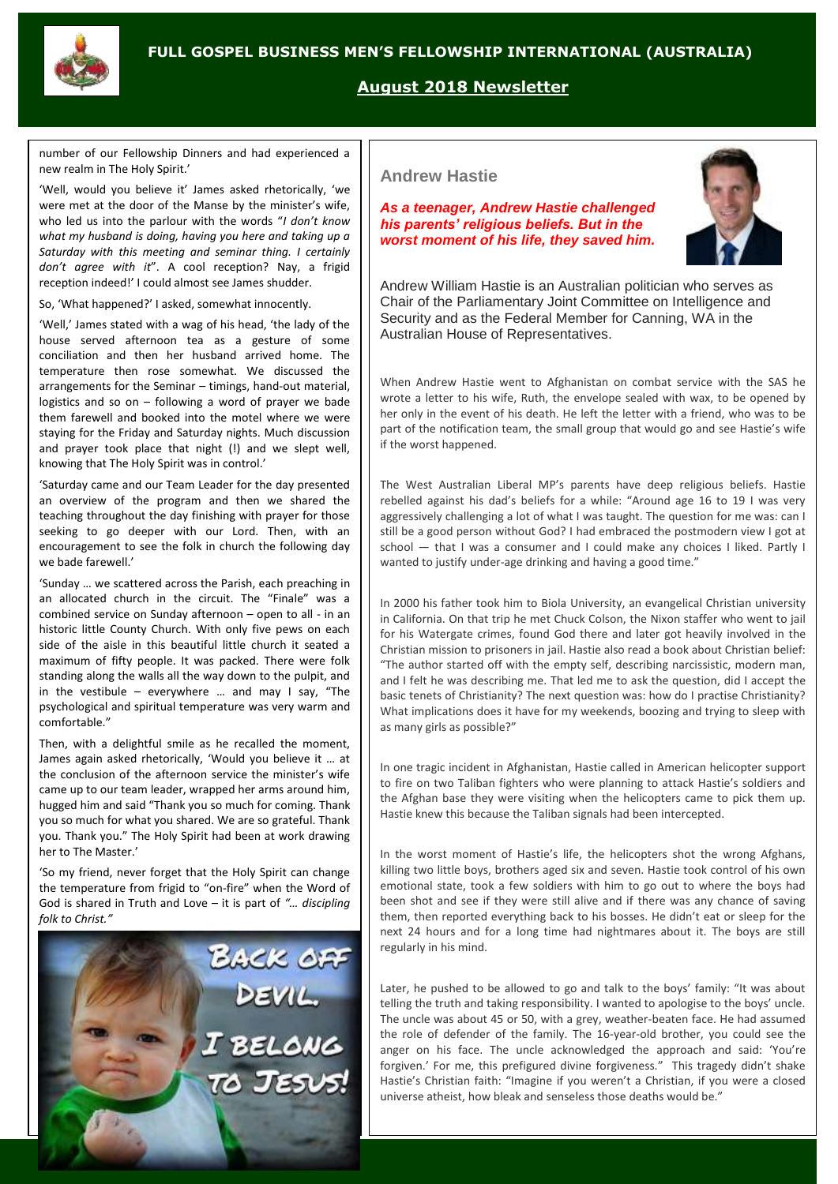# **FULL GOSPEL BUSINESS MEN'S FELLOWSHIP INTERNATIONAL (AUSTRALIA)**



## **August 2018 Newsletter**

number of our Fellowship Dinners and had experienced a new realm in The Holy Spirit.'

'Well, would you believe it' James asked rhetorically, 'we were met at the door of the Manse by the minister's wife, who led us into the parlour with the words "*I don't know what my husband is doing, having you here and taking up a Saturday with this meeting and seminar thing. I certainly don't agree with it*". A cool reception? Nay, a frigid reception indeed!' I could almost see James shudder.

So, 'What happened?' I asked, somewhat innocently.

'Well,' James stated with a wag of his head, 'the lady of the house served afternoon tea as a gesture of some conciliation and then her husband arrived home. The temperature then rose somewhat. We discussed the arrangements for the Seminar – timings, hand-out material, logistics and so on – following a word of prayer we bade them farewell and booked into the motel where we were staying for the Friday and Saturday nights. Much discussion and prayer took place that night (!) and we slept well, knowing that The Holy Spirit was in control.'

'Saturday came and our Team Leader for the day presented an overview of the program and then we shared the teaching throughout the day finishing with prayer for those seeking to go deeper with our Lord. Then, with an encouragement to see the folk in church the following day we bade farewell.'

'Sunday … we scattered across the Parish, each preaching in an allocated church in the circuit. The "Finale" was a combined service on Sunday afternoon – open to all - in an historic little County Church. With only five pews on each side of the aisle in this beautiful little church it seated a maximum of fifty people. It was packed. There were folk standing along the walls all the way down to the pulpit, and in the vestibule – everywhere  $\ldots$  and may I say, "The psychological and spiritual temperature was very warm and comfortable."

Then, with a delightful smile as he recalled the moment, James again asked rhetorically, 'Would you believe it … at the conclusion of the afternoon service the minister's wife came up to our team leader, wrapped her arms around him, hugged him and said "Thank you so much for coming. Thank you so much for what you shared. We are so grateful. Thank you. Thank you." The Holy Spirit had been at work drawing her to The Master.'

'So my friend, never forget that the Holy Spirit can change the temperature from frigid to "on-fire" when the Word of God is shared in Truth and Love – it is part of *"… discipling folk to Christ."*



#### **Andrew Hastie**

*As a teenager, Andrew Hastie challenged his parents' religious beliefs. But in the worst moment of his life, they saved him.*



Andrew William Hastie is an Australian politician who serves as Chair of the Parliamentary Joint Committee on Intelligence and Security and as the Federal Member for Canning, WA in the Australian House of Representatives.

When Andrew Hastie went to Afghanistan on combat service with the SAS he wrote a letter to his wife, Ruth, the envelope sealed with wax, to be opened by her only in the event of his death. He left the letter with a friend, who was to be part of the notification team, the small group that would go and see Hastie's wife if the worst happened.

The West Australian Liberal MP's parents have deep religious beliefs. Hastie rebelled against his dad's beliefs for a while: "Around age 16 to 19 I was very aggressively challenging a lot of what I was taught. The question for me was: can I still be a good person without God? I had embraced the postmodern view I got at school - that I was a consumer and I could make any choices I liked. Partly I wanted to justify under-age drinking and having a good time."

In 2000 his father took him to Biola University, an evangelical Christian university in California. On that trip he met Chuck Colson, the Nixon staffer who went to jail for his Watergate crimes, found God there and later got heavily involved in the Christian mission to prisoners in jail. Hastie also read a book about Christian belief: "The author started off with the empty self, describing narcissistic, modern man, and I felt he was describing me. That led me to ask the question, did I accept the basic tenets of Christianity? The next question was: how do I practise Christianity? What implications does it have for my weekends, boozing and trying to sleep with as many girls as possible?"

In one tragic incident in Afghanistan, Hastie called in American helicopter support to fire on two Taliban fighters who were planning to attack Hastie's soldiers and the Afghan base they were visiting when the helicopters came to pick them up. Hastie knew this because the Taliban signals had been intercepted.

In the worst moment of Hastie's life, the helicopters shot the wrong Afghans, killing two little boys, brothers aged six and seven. Hastie took control of his own emotional state, took a few soldiers with him to go out to where the boys had been shot and see if they were still alive and if there was any chance of saving them, then reported everything back to his bosses. He didn't eat or sleep for the next 24 hours and for a long time had nightmares about it. The boys are still regularly in his mind.

Later, he pushed to be allowed to go and talk to the boys' family: "It was about telling the truth and taking responsibility. I wanted to apologise to the boys' uncle. The uncle was about 45 or 50, with a grey, weather-beaten face. He had assumed the role of defender of the family. The 16-year-old brother, you could see the anger on his face. The uncle acknowledged the approach and said: 'You're forgiven.' For me, this prefigured divine forgiveness." This tragedy didn't shake Hastie's Christian faith: "Imagine if you weren't a Christian, if you were a closed universe atheist, how bleak and senseless those deaths would be."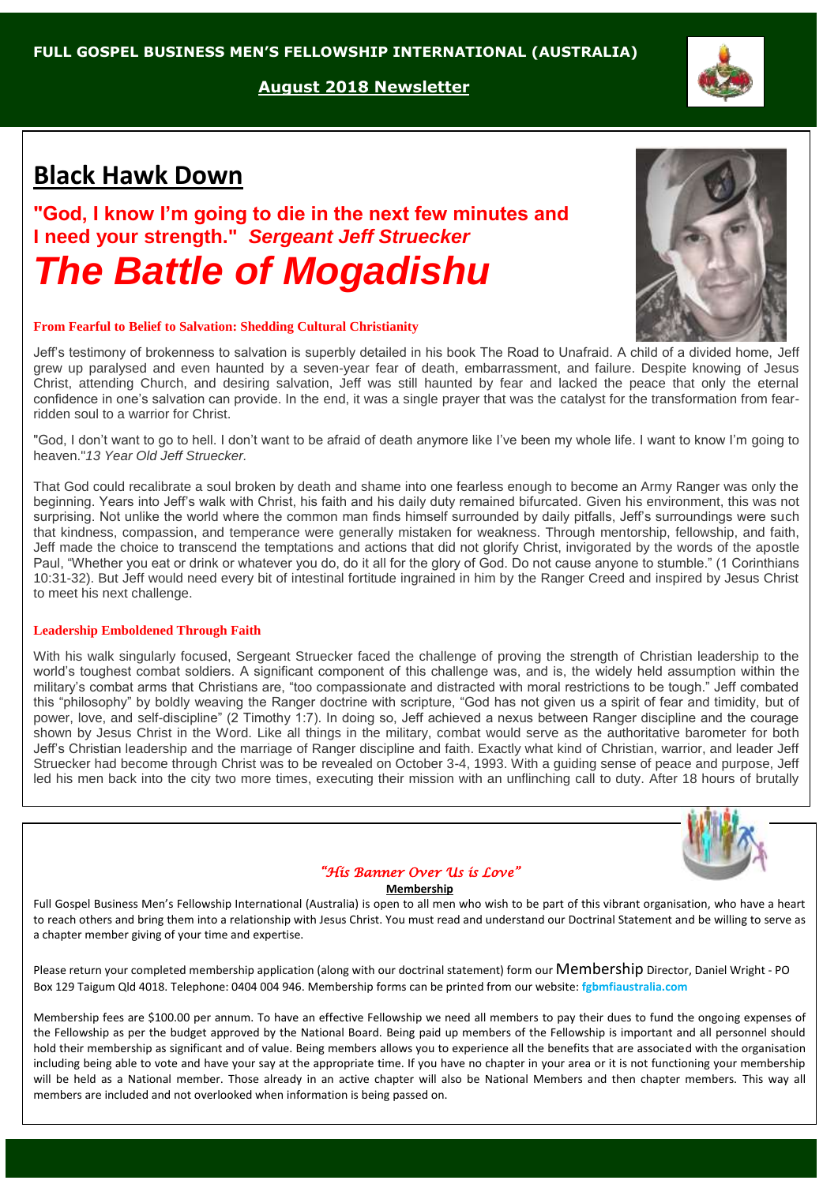**August 2018 Newsletter**

# **Black Hawk Down**

**"God, I know I'm going to die in the next few minutes and I need your strength."** *Sergeant Jeff Struecker The Battle of Mogadishu*

#### **From Fearful to Belief to Salvation: Shedding Cultural Christianity**

Jeff's testimony of brokenness to salvation is superbly detailed in his book The Road to Unafraid. A child of a divided home, Jeff grew up paralysed and even haunted by a seven-year fear of death, embarrassment, and failure. Despite knowing of Jesus Christ, attending Church, and desiring salvation, Jeff was still haunted by fear and lacked the peace that only the eternal confidence in one's salvation can provide. In the end, it was a single prayer that was the catalyst for the transformation from fearridden soul to a warrior for Christ.

"God, I don't want to go to hell. I don't want to be afraid of death anymore like I've been my whole life. I want to know I'm going to heaven."*13 Year Old Jeff Struecker.*

That God could recalibrate a soul broken by death and shame into one fearless enough to become an Army Ranger was only the beginning. Years into Jeff's walk with Christ, his faith and his daily duty remained bifurcated. Given his environment, this was not surprising. Not unlike the world where the common man finds himself surrounded by daily pitfalls, Jeff's surroundings were such that kindness, compassion, and temperance were generally mistaken for weakness. Through mentorship, fellowship, and faith, Jeff made the choice to transcend the temptations and actions that did not glorify Christ, invigorated by the words of the apostle Paul, "Whether you eat or drink or whatever you do, do it all for the glory of God. Do not cause anyone to stumble." (1 Corinthians 10:31-32). But Jeff would need every bit of intestinal fortitude ingrained in him by the Ranger Creed and inspired by Jesus Christ to meet his next challenge.

## **Leadership Emboldened Through Faith**

With his walk singularly focused, Sergeant Struecker faced the challenge of proving the strength of Christian leadership to the world's toughest combat soldiers. A significant component of this challenge was, and is, the widely held assumption within the military's combat arms that Christians are, "too compassionate and distracted with moral restrictions to be tough." Jeff combated this "philosophy" by boldly weaving the Ranger doctrine with scripture, "God has not given us a spirit of fear and timidity, but of power, love, and self-discipline" (2 Timothy 1:7). In doing so, Jeff achieved a nexus between Ranger discipline and the courage shown by Jesus Christ in the Word. Like all things in the military, combat would serve as the authoritative barometer for both Jeff's Christian leadership and the marriage of Ranger discipline and faith. Exactly what kind of Christian, warrior, and leader Jeff Struecker had become through Christ was to be revealed on October 3-4, 1993. With a guiding sense of peace and purpose, Jeff led his men back into the city two more times, executing their mission with an unflinching call to duty. After 18 hours of brutally

#### *"His Banner Over Us is Love"*

#### **Membership**

Full Gospel Business Men's Fellowship International (Australia) is open to all men who wish to be part of this vibrant organisation, who have a heart to reach others and bring them into a relationship with Jesus Christ. You must read and understand our Doctrinal Statement and be willing to serve as a chapter member giving of your time and expertise.

Please return your completed membership application (along with our doctrinal statement) form our Membership Director, Daniel Wright - PO Box 129 Taigum Qld 4018. Telephone: 0404 004 946. Membership forms can be printed from our website: **fgbmfiaustralia.com**

Membership fees are \$100.00 per annum. To have an effective Fellowship we need all members to pay their dues to fund the ongoing expenses of the Fellowship as per the budget approved by the National Board. Being paid up members of the Fellowship is important and all personnel should hold their membership as significant and of value. Being members allows you to experience all the benefits that are associated with the organisation including being able to vote and have your say at the appropriate time. If you have no chapter in your area or it is not functioning your membership will be held as a National member. Those already in an active chapter will also be National Members and then chapter members. This way all members are included and not overlooked when information is being passed on.